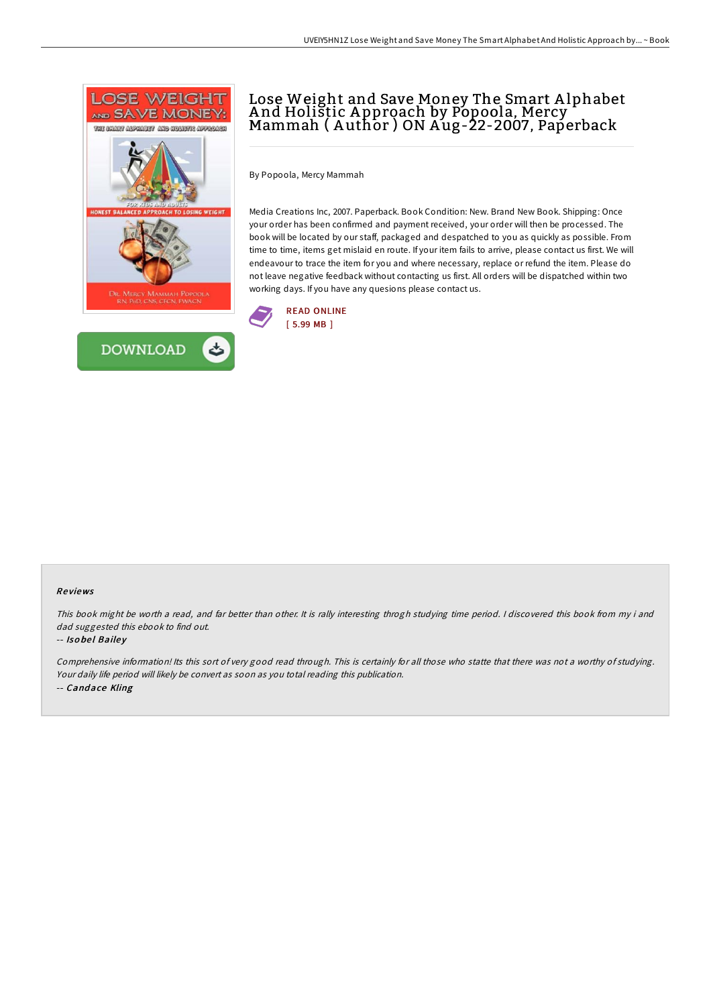



## Lose Weight and Save Money The Smart A lphabet And Holištic Approach by Pópoola, Mercy <sup>-</sup><br>Mammah ( Author ) ON Aug-22-2007, Paperback

By Popoola, Mercy Mammah

Media Creations Inc, 2007. Paperback. Book Condition: New. Brand New Book. Shipping: Once your order has been confirmed and payment received, your order will then be processed. The book will be located by our staff, packaged and despatched to you as quickly as possible. From time to time, items get mislaid en route. If your item fails to arrive, please contact us first. We will endeavour to trace the item for you and where necessary, replace or refund the item. Please do not leave negative feedback without contacting us first. All orders will be dispatched within two working days. If you have any quesions please contact us.



## Re views

This book might be worth <sup>a</sup> read, and far better than other. It is rally interesting throgh studying time period. <sup>I</sup> discovered this book from my i and dad suggested this ebook to find out.

## -- Isobel Bailey

Comprehensive information! Its this sort of very good read through. This is certainly for all those who statte that there was not a worthy of studying. Your daily life period will likely be convert as soon as you total reading this publication. -- Candace Kling